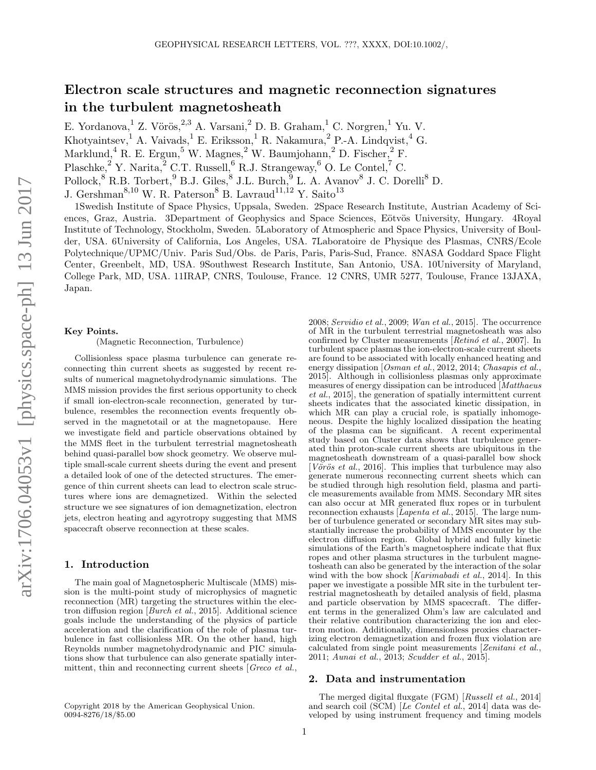# Electron scale structures and magnetic reconnection signatures in the turbulent magnetosheath

E. Yordanova,  $1$  Z. Vörös,  $2,3$  A. Varsani,  $2$  D. B. Graham,  $1$  C. Norgren,  $1$  Yu. V.

Khotyaintsev,<sup>1</sup> A. Vaivads,<sup>1</sup> E. Eriksson,<sup>1</sup> R. Nakamura,<sup>2</sup> P.-A. Lindqvist,<sup>4</sup> G.

Marklund,<sup>4</sup> R. E. Ergun,<sup>5</sup> W. Magnes,<sup>2</sup> W. Baumjohann,<sup>2</sup> D. Fischer,<sup>2</sup> F.

Plaschke,<sup>2</sup> Y. Narita,<sup>2</sup> C.T. Russell,<sup>6</sup> R.J. Strangeway,<sup>6</sup> O. Le Contel,<sup>7</sup> C.

Pollock,  $8$  R.B. Torbert,  $9$  B.J. Giles,  $8$  J.L. Burch,  $9$  L. A. Avanov  $8$  J. C. Dorelli $8$  D.

J. Gershman<sup>8,10</sup> W. R. Paterson<sup>8</sup> B. Lavraud<sup>11,12</sup> Y. Saito<sup>13</sup>

1Swedish Institute of Space Physics, Uppsala, Sweden. 2Space Research Institute, Austrian Academy of Sciences, Graz, Austria. 3Department of Geophysics and Space Sciences, Eötvös University, Hungary. 4Royal Institute of Technology, Stockholm, Sweden. 5Laboratory of Atmospheric and Space Physics, University of Boulder, USA. 6University of California, Los Angeles, USA. 7Laboratoire de Physique des Plasmas, CNRS/Ecole Polytechnique/UPMC/Univ. Paris Sud/Obs. de Paris, Paris, Paris-Sud, France. 8NASA Goddard Space Flight Center, Greenbelt, MD, USA. 9Southwest Research Institute, San Antonio, USA. 10University of Maryland, College Park, MD, USA. 11IRAP, CNRS, Toulouse, France. 12 CNRS, UMR 5277, Toulouse, France 13JAXA, Japan.

#### Key Points.

(Magnetic Reconnection, Turbulence)

Collisionless space plasma turbulence can generate reconnecting thin current sheets as suggested by recent results of numerical magnetohydrodynamic simulations. The MMS mission provides the first serious opportunity to check if small ion-electron-scale reconnection, generated by turbulence, resembles the reconnection events frequently observed in the magnetotail or at the magnetopause. Here we investigate field and particle observations obtained by the MMS fleet in the turbulent terrestrial magnetosheath behind quasi-parallel bow shock geometry. We observe multiple small-scale current sheets during the event and present a detailed look of one of the detected structures. The emergence of thin current sheets can lead to electron scale structures where ions are demagnetized. Within the selected structure we see signatures of ion demagnetization, electron jets, electron heating and agyrotropy suggesting that MMS spacecraft observe reconnection at these scales.

## 1. Introduction

The main goal of Magnetospheric Multiscale (MMS) mission is the multi-point study of microphysics of magnetic reconnection (MR) targeting the structures within the electron diffusion region [Burch et al., 2015]. Additional science goals include the understanding of the physics of particle acceleration and the clarification of the role of plasma turbulence in fast collisionless MR. On the other hand, high Reynolds number magnetohydrodynamic and PIC simulations show that turbulence can also generate spatially intermittent, thin and reconnecting current sheets [Greco et al.,

2008; Servidio et al., 2009; Wan et al., 2015]. The occurrence of MR in the turbulent terrestrial magnetosheath was also confirmed by Cluster measurements  $[Retinó et al., 2007]$ . In turbulent space plasmas the ion-electron-scale current sheets are found to be associated with locally enhanced heating and energy dissipation [Osman et al., 2012, 2014; Chasapis et al., 2015]. Although in collisionless plasmas only approximate measures of energy dissipation can be introduced  $\lceil\hat{M}atthaeus\rceil$ et al., 2015], the generation of spatially intermittent current sheets indicates that the associated kinetic dissipation, in which MR can play a crucial role, is spatially inhomogeneous. Despite the highly localized dissipation the heating of the plasma can be significant. A recent experimental study based on Cluster data shows that turbulence generated thin proton-scale current sheets are ubiquitous in the magnetosheath downstream of a quasi-parallel bow shock [ $V\ddot{o}\dot{r}\ddot{o}s$  *et al.*, 2016]. This implies that turbulence may also generate numerous reconnecting current sheets which can be studied through high resolution field, plasma and particle measurements available from MMS. Secondary MR sites can also occur at MR generated flux ropes or in turbulent reconnection exhausts [ $Lapenta et al., 2015$ ]. The large number of turbulence generated or secondary MR sites may substantially increase the probability of MMS encounter by the electron diffusion region. Global hybrid and fully kinetic simulations of the Earth's magnetosphere indicate that flux ropes and other plasma structures in the turbulent magnetosheath can also be generated by the interaction of the solar wind with the bow shock [Karimabadi et al., 2014]. In this paper we investigate a possible MR site in the turbulent terrestrial magnetosheath by detailed analysis of field, plasma and particle observation by MMS spacecraft. The different terms in the generalized Ohm's law are calculated and their relative contribution characterizing the ion and electron motion. Additionally, dimensionless proxies characterizing electron demagnetization and frozen flux violation are calculated from single point measurements [Zenitani et al., 2011; Aunai et al., 2013; Scudder et al., 2015].

## 2. Data and instrumentation

The merged digital fluxgate (FGM) [Russell et al., 2014] and search coil (SCM) [Le Contel et al., 2014] data was developed by using instrument frequency and timing models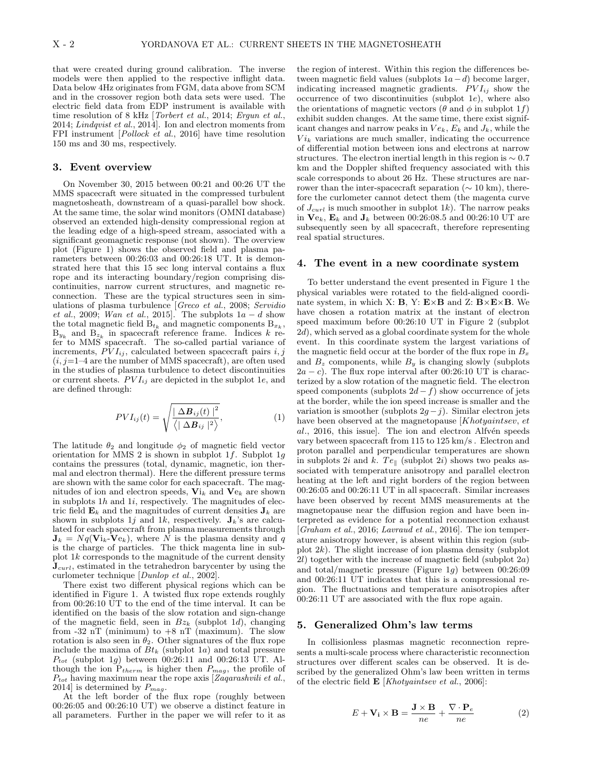that were created during ground calibration. The inverse models were then applied to the respective inflight data. Data below 4Hz originates from FGM, data above from SCM and in the crossover region both data sets were used. The electric field data from EDP instrument is available with time resolution of 8 kHz [*Torbert et al.*, 2014; *Ergun et al.*, 2014; Lindqvist et al., 2014]. Ion and electron moments from FPI instrument [Pollock et al., 2016] have time resolution 150 ms and 30 ms, respectively.

## 3. Event overview

On November 30, 2015 between 00:21 and 00:26 UT the MMS spacecraft were situated in the compressed turbulent magnetosheath, downstream of a quasi-parallel bow shock. At the same time, the solar wind monitors (OMNI database) observed an extended high-density compressional region at the leading edge of a high-speed stream, associated with a significant geomagnetic response (not shown). The overview plot (Figure 1) shows the observed field and plasma parameters between 00:26:03 and 00:26:18 UT. It is demonstrated here that this 15 sec long interval contains a flux rope and its interacting boundary/region comprising discontinuities, narrow current structures, and magnetic reconnection. These are the typical structures seen in simulations of plasma turbulence [Greco et al., 2008; Servidio et al., 2009; Wan et al., 2015]. The subplots  $1a - d$  show the total magnetic field  $B_{t_k}$  and magnetic components  $B_{x_k}$ ,  $B_{y_k}$  and  $B_{z_k}$  in spacecraft reference frame. Indices k refer to  $M\tilde{MS}^k$  spacecraft. The so-called partial variance of increments,  $\overrightarrow{PV}_{Iij}$ , calculated between spacecraft pairs i, j  $(i, j=1-4$  are the number of MMS spacecraft), are often used in the studies of plasma turbulence to detect discontinuities or current sheets.  $PVI_{ij}$  are depicted in the subplot 1e, and are defined through:

$$
PVI_{ij}(t) = \sqrt{\frac{|\Delta B_{ij}(t)|^2}{\langle |\Delta B_{ij}|^2 \rangle}},
$$
\n(1)

The latitude  $\theta_2$  and longitude  $\phi_2$  of magnetic field vector orientation for MMS 2 is shown in subplot  $1f$ . Subplot  $1g$ contains the pressures (total, dynamic, magnetic, ion thermal and electron thermal). Here the different pressure terms are shown with the same color for each spacecraft. The magnitudes of ion and electron speeds,  $\mathbf{Vi}_k$  and  $\mathbf{Ve}_k$  are shown in subplots  $1h$  and  $1i$ , respectively. The magnitudes of electric field  $\mathbf{E}_k$  and the magnitudes of current densities  $\mathbf{J}_k$  are shown in subplots 1j and 1k, respectively.  $J_k$ 's are calculated for each spacecraft from plasma measurements through  $J_k = Nq(\mathbf{V}i_k\text{-}\mathbf{V}e_k)$ , where N is the plasma density and q is the charge of particles. The thick magenta line in subplot  $1k$  corresponds to the magnitude of the current density  $J_{\textit{curl}}$ , estimated in the tetrahedron barycenter by using the curlometer technique [Dunlop et al., 2002].

There exist two different physical regions which can be identified in Figure 1. A twisted flux rope extends roughly from 00:26:10 UT to the end of the time interval. It can be identified on the basis of the slow rotation and sign-change of the magnetic field, seen in  $Bz_k$  (subplot 1d), changing from  $-32$  nT (minimum) to  $+8$  nT (maximum). The slow rotation is also seen in  $\theta_2$ . Other signatures of the flux rope include the maxima of  $Bt_k$  (subplot 1a) and total pressure  $P_{tot}$  (subplot 1q) between 00:26:11 and 00:26:13 UT. Although the ion  $P_{therm}$  is higher then  $P_{mag}$ , the profile of  $P_{tot}$  having maximum near the rope axis [Zaqarashvili et al., 2014] is determined by  $P_{mag}$ .

At the left border of the flux rope (roughly between 00:26:05 and 00:26:10 UT) we observe a distinct feature in all parameters. Further in the paper we will refer to it as

the region of interest. Within this region the differences between magnetic field values (subplots  $1a-d$ ) become larger, indicating increased magnetic gradients.  $PVI_{ij}$  show the occurrence of two discontinuities (subplot  $1e$ ), where also the orientations of magnetic vectors ( $\theta$  and  $\phi$  in subplot 1f) exhibit sudden changes. At the same time, there exist significant changes and narrow peaks in  $Ve_k$ ,  $E_k$  and  $J_k$ , while the  $Vi_k$  variations are much smaller, indicating the occurrence of differential motion between ions and electrons at narrow structures. The electron inertial length in this region is  $\sim 0.7$ km and the Doppler shifted frequency associated with this scale corresponds to about 26 Hz. These structures are narrower than the inter-spacecraft separation ( $\sim 10 \text{ km}$ ), therefore the curlometer cannot detect them (the magenta curve of  $J_{\text{curl}}$  is much smoother in subplot 1k). The narrow peaks in  $Ve_k$ ,  $E_k$  and  $J_k$  between 00:26:08.5 and 00:26:10 UT are subsequently seen by all spacecraft, therefore representing real spatial structures.

#### 4. The event in a new coordinate system

To better understand the event presented in Figure 1 the physical variables were rotated to the field-aligned coordinate system, in which X:  $B$ , Y:  $E \times B$  and Z:  $B \times E \times B$ . We have chosen a rotation matrix at the instant of electron speed maximum before 00:26:10 UT in Figure 2 (subplot 2d), which served as a global coordinate system for the whole event. In this coordinate system the largest variations of the magnetic field occur at the border of the flux rope in  $B_x$ and  $B_z$  components, while  $B_y$  is changing slowly (subplots  $2a - c$ ). The flux rope interval after 00:26:10 UT is characterized by a slow rotation of the magnetic field. The electron speed components (subplots  $2d - f$ ) show occurrence of jets at the border, while the ion speed increase is smaller and the variation is smoother (subplots  $2g-j$ ). Similar electron jets have been observed at the magnetopause [Khotyaintsev, et  $al., 2016, this issue. The ion and electron Alfvén speeds$ vary between spacecraft from 115 to 125 km/s . Electron and proton parallel and perpendicular temperatures are shown in subplots 2i and k. Te<sub>||</sub> (subplot 2i) shows two peaks associated with temperature anisotropy and parallel electron heating at the left and right borders of the region between 00:26:05 and 00:26:11 UT in all spacecraft. Similar increases have been observed by recent MMS measurements at the magnetopause near the diffusion region and have been interpreted as evidence for a potential reconnection exhaust [Graham et al., 2016; Lavraud et al., 2016]. The ion temperature anisotropy however, is absent within this region (subplot  $2k$ ). The slight increase of ion plasma density (subplot 2l) together with the increase of magnetic field (subplot  $2a$ ) and total/magnetic pressure (Figure 1g) between 00:26:09 and 00:26:11 UT indicates that this is a compressional region. The fluctuations and temperature anisotropies after 00:26:11 UT are associated with the flux rope again.

## 5. Generalized Ohm's law terms

In collisionless plasmas magnetic reconnection represents a multi-scale process where characteristic reconnection structures over different scales can be observed. It is described by the generalized Ohm's law been written in terms of the electric field  $\mathbf{E}$  [*Khotyaintsev et al.*, 2006]:

$$
E + \mathbf{V_i} \times \mathbf{B} = \frac{\mathbf{J} \times \mathbf{B}}{ne} + \frac{\nabla \cdot \mathbf{P_e}}{ne}
$$
 (2)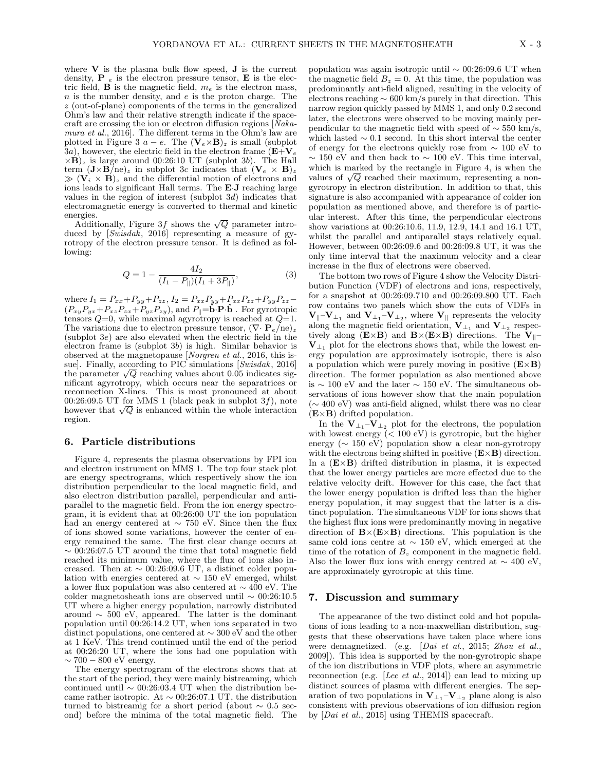where  $V$  is the plasma bulk flow speed,  $J$  is the current density, **P**  $_e$  is the electron pressure tensor, **E** is the electric field, **B** is the magnetic field,  $m_e$  is the electron mass,  $n$  is the number density, and  $e$  is the proton charge. The z (out-of-plane) components of the terms in the generalized Ohm's law and their relative strength indicate if the spacecraft are crossing the ion or electron diffusion regions  $\hat{N}$ akamura et al., 2016. The different terms in the Ohm's law are plotted in Figure 3  $a - e$ . The  $(\mathbf{V}_e \times \mathbf{B})_z$  is small (subplot  $3a$ ), however, the electric field in the electron frame  $(E+V_e)$  $\times$ **B**)<sub>z</sub> is large around 00:26:10 UT (subplot 3b). The Hall term  $(\mathbf{J} \times \mathbf{B})_{\mathbb{Z}}$  in subplot 3c indicates that  $(\mathbf{V}_e \times \mathbf{B})_{\mathbb{Z}}$  $(\mathbf{V}_i \times \mathbf{B})_z$  and the differential motion of electrons and ions leads to significant Hall terms. The E·J reaching large values in the region of interest (subplot  $3d$ ) indicates that electromagnetic energy is converted to thermal and kinetic energies.

ergies.<br>Additionally, Figure 3f shows the  $\sqrt{Q}$  parameter introduced by [Swisdak, 2016] representing a measure of gyrotropy of the electron pressure tensor. It is defined as following:

$$
Q = 1 - \frac{4I_2}{(I_1 - P_{\parallel})(I_1 + 3P_{\parallel})},
$$
\n(3)

where  $I_1 = P_{xx} + P_{yy} + P_{zz}$ ,  $I_2 = P_{xx}P_{yy} + P_{xx}P_{zz} + P_{yy}P_{zz}$  $(P_{xy}P_{yx}+P_{xz}P_{zx}+P_{yz}P_{zy}),$  and  $P_{\parallel}=\tilde{\mathbf{b}}\cdot\mathbf{P}\cdot\mathbf{\hat{b}}$ . For gyrotropic tensors  $Q=0$ , while maximal agyrotropy is reached at  $Q=1$ . The variations due to electron pressure tensor,  $(\nabla \cdot \mathbf{P}_e / ne)_z$ (subplot 3e) are also elevated when the electric field in the electron frame is (subplot 3b) is high. Similar behavior is observed at the magnetopause [Norgren et al., 2016, this issue]. Finally, according to PIC simulations [Swisdak, 2016] sue]. Finally, according to PIC simulations  $\left[Swisdak, 2016\right]$ <br>the parameter  $\sqrt{Q}$  reaching values about 0.05 indicates significant agyrotropy, which occurs near the separatrices or reconnection X-lines. This is most pronounced at about 00:26:09.5 UT for MMS 1 (black peak in subplot  $3f$ ), note 00:26:09.5 UT for MMS I (black peak in subplot 3f), note however that  $\sqrt{Q}$  is enhanced within the whole interaction region.

## 6. Particle distributions

Figure 4, represents the plasma observations by FPI ion and electron instrument on MMS 1. The top four stack plot are energy spectrograms, which respectively show the ion distribution perpendicular to the local magnetic field, and also electron distribution parallel, perpendicular and antiparallel to the magnetic field. From the ion energy spectrogram, it is evident that at 00:26:00 UT the ion population had an energy centered at  $\sim$  750 eV. Since then the flux of ions showed some variations, however the center of energy remained the same. The first clear change occurs at  $\sim 0.026:07.5$  UT around the time that total magnetic field reached its minimum value, where the flux of ions also increased. Then at  $\sim 00:26:09.6 \text{ UT}$ , a distinct colder population with energies centered at  $\sim$  150 eV emerged, whilst a lower flux population was also centered at ∼ 400 eV. The colder magnetosheath ions are observed until ∼ 00:26:10.5 UT where a higher energy population, narrowly distributed around  $\sim 500$  eV, appeared. The latter is the dominant population until  $00:26:14.2$  UT, when ions separated in two distinct populations, one centered at ∼ 300 eV and the other at 1 KeV. This trend continued until the end of the period at 00:26:20 UT, where the ions had one population with  $\sim$  700 – 800 eV energy.

The energy spectrogram of the electrons shows that at the start of the period, they were mainly bistreaming, which continued until  $\sim$  00:26:03.4 UT when the distribution became rather isotropic. At  $\sim 00:26:07.1 \text{ UT}$ , the distribution turned to bistreamig for a short period (about ∼ 0.5 second) before the minima of the total magnetic field. The population was again isotropic until ∼ 00:26:09.6 UT when the magnetic field  $B_z = 0$ . At this time, the population was predominantly anti-field aligned, resulting in the velocity of electrons reaching ∼ 600 km/s purely in that direction. This narrow region quickly passed by MMS 1, and only 0.2 second later, the electrons were observed to be moving mainly perpendicular to the magnetic field with speed of  $\sim$  550 km/s, which lasted  $\sim 0.1$  second. In this short interval the center of energy for the electrons quickly rose from ∼ 100 eV to  $\sim$  150 eV and then back to  $\sim$  100 eV. This time interval, which is marked by the rectangle in Figure 4, is when the which is marked by the rectangle in Figure 4, is when the values of  $\sqrt{Q}$  reached their maximum, representing a nongyrotropy in electron distribution. In addition to that, this signature is also accompanied with appearance of colder ion population as mentioned above, and therefore is of particular interest. After this time, the perpendicular electrons show variations at 00:26:10.6, 11.9, 12.9, 14.1 and 16.1 UT, whilst the parallel and antiparallel stays relatively equal. However, between 00:26:09.6 and 00:26:09.8 UT, it was the only time interval that the maximum velocity and a clear increase in the flux of electrons were observed.

The bottom two rows of Figure 4 show the Velocity Distribution Function (VDF) of electrons and ions, respectively, for a snapshot at 00:26:09.710 and 00:26:09.800 UT. Each row contains two panels which show the cuts of VDFs in  ${\bf V}_{\parallel}$ - ${\bf V}_{\perp_1}$  and  ${\bf V}_{\perp_1}$ - ${\bf V}_{\perp_2}$ , where  ${\bf V}_{\parallel}$  represents the velocity along the magnetic field orientation,  $V_{\perp_1}$  and  $V_{\perp_2}$  respectively along  $(E \times B)$  and  $B \times (E \times B)$  directions. The  $V_{\parallel}$ - $V_{\perp_1}$  plot for the electrons shows that, while the lowest energy population are approximately isotropic, there is also a population which were purely moving in positive  $(E \times B)$ direction. The former population as also mentioned above is ∼ 100 eV and the later ∼ 150 eV. The simultaneous observations of ions however show that the main population (∼ 400 eV) was anti-field aligned, whilst there was no clear  $(E \times B)$  drifted population.

In the  $V_{\perp_1}$ - $V_{\perp_2}$  plot for the electrons, the population with lowest energy  $( $100 \text{ eV}$ )$  is gyrotropic, but the higher energy (∼ 150 eV) population show a clear non-gyrotropy with the electrons being shifted in positive  $(E \times B)$  direction. In a  $(E \times B)$  drifted distribution in plasma, it is expected that the lower energy particles are more effected due to the relative velocity drift. However for this case, the fact that the lower energy population is drifted less than the higher energy population, it may suggest that the latter is a distinct population. The simultaneous VDF for ions shows that the highest flux ions were predominantly moving in negative direction of  $\mathbf{B} \times (\mathbf{E} \times \mathbf{B})$  directions. This population is the same cold ions centre at ∼ 150 eV, which emerged at the time of the rotation of  $B<sub>z</sub>$  component in the magnetic field. Also the lower flux ions with energy centred at  $\sim 400 \text{ eV}$ , are approximately gyrotropic at this time.

## 7. Discussion and summary

The appearance of the two distinct cold and hot populations of ions leading to a non-maxwellian distribution, suggests that these observations have taken place where ions were demagnetized. (e.g. [Dai et al., 2015; Zhou et al., 2009]). This idea is supported by the non-gyrotropic shape of the ion distributions in VDF plots, where an asymmetric reconnection (e.g. [Lee et al., 2014]) can lead to mixing up distinct sources of plasma with different energies. The separation of two populations in  ${\bf V}_{\perp_1} \!-\! {\bf V}_{\perp_2}$  plane along is also consistent with previous observations of ion diffusion region by [Dai et al., 2015] using THEMIS spacecraft.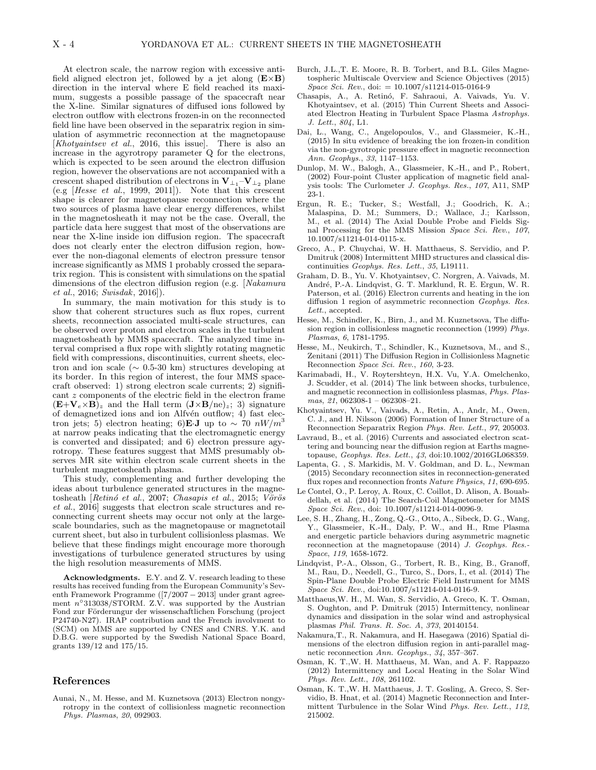At electron scale, the narrow region with excessive antifield aligned electron jet, followed by a jet along  $(E \times B)$ direction in the interval where E field reached its maximum, suggests a possible passage of the spacecraft near the X-line. Similar signatures of diffused ions followed by electron outflow with electrons frozen-in on the reconnected field line have been observed in the separatrix region in simulation of asymmetric reconnection at the magnetopause [Khotyaintsev et al., 2016, this issue]. There is also an increase in the agyrotropy parameter Q for the electrons, which is expected to be seen around the electron diffusion region, however the observations are not accompanied with a crescent shaped distribution of electrons in  $V_{\perp_1}^- - V_{\perp_2}$  plane (e.g [Hesse et al., 1999, 2011]). Note that this crescent shape is clearer for magnetopause reconnection where the two sources of plasma have clear energy differences, whilst in the magnetosheath it may not be the case. Overall, the particle data here suggest that most of the observations are near the X-line inside ion diffusion region. The spacecraft does not clearly enter the electron diffusion region, however the non-diagonal elements of electron pressure tensor increase significantly as MMS 1 probably crossed the separatrix region. This is consistent with simulations on the spatial dimensions of the electron diffusion region (e.g. [Nakamura et al., 2016; Swisdak, 2016]).

In summary, the main motivation for this study is to show that coherent structures such as flux ropes, current sheets, reconnection associated multi-scale structures, can be observed over proton and electron scales in the turbulent magnetosheath by MMS spacecraft. The analyzed time interval comprised a flux rope with slightly rotating magnetic field with compressions, discontinuities, current sheets, electron and ion scale ( $\sim$  0.5-30 km) structures developing at its border. In this region of interest, the four MMS spacecraft observed: 1) strong electron scale currents; 2) significant z components of the electric field in the electron frame  $(E+V_e\times B)_z$  and the Hall term  $(J\times B/ne)_z$ ; 3) signature of demagnetized ions and ion Alfvén outflow; 4) fast electron jets; 5) electron heating; 6)**E**·J up to  $\sim$  70  $nW/m^3$ at narrow peaks indicating that the electromagnetic energy is converted and dissipated; and 6) electron pressure agyrotropy. These features suggest that MMS presumably observes MR site within electron scale current sheets in the turbulent magnetosheath plasma.

This study, complementing and further developing the ideas about turbulence generated structures in the magnetosheath [ $Retinó et al., 2007; Chasapis et al., 2015; Vörös$ et al., 2016] suggests that electron scale structures and reconnecting current sheets may occur not only at the largescale boundaries, such as the magnetopause or magnetotail current sheet, but also in turbulent collisionless plasmas. We believe that these findings might encourage more thorough investigations of turbulence generated structures by using the high resolution measurements of MMS.

Acknowledgments. E.Y. and Z. V. research leading to these results has received funding from the European Community's Seventh Framework Programme ([7/2007 − 2013] under grant agreement  $n^{\circ}313038/STORM.$  Z.V. was supported by the Austrian Fond zur Förderungur der wissenschaftlichen Forschung (project P24740-N27). IRAP contribution and the French involvment to (SCM) on MMS are supported by CNES and CNRS. Y.K. and D.B.G. were supported by the Swedish National Space Board, grants 139/12 and 175/15.

### References

Aunai, N., M. Hesse, and M. Kuznetsova (2013) Electron nongyrotropy in the context of collisionless magnetic reconnection Phys. Plasmas, 20, 092903.

- Burch, J.L.,T. E. Moore, R. B. Torbert, and B.L. Giles Magnetospheric Multiscale Overview and Science Objectives (2015)  $Space\; Sci.\; Rev., \, doi:  $= 10.1007 \, s11214-015-0164-9$$
- Chasapis, A., A. Retinó, F. Sahraoui, A. Vaivads, Yu. V. Khotyaintsev, et al. (2015) Thin Current Sheets and Associated Electron Heating in Turbulent Space Plasma Astrophys. J. Lett., 804, L1.
- Dai, L., Wang, C., Angelopoulos, V., and Glassmeier, K.-H., (2015) In situ evidence of breaking the ion frozen-in condition via the non-gyrotropic pressure effect in magnetic reconnection Ann. Geophys., 33, 1147–1153.
- Dunlop, M. W., Balogh, A., Glassmeier, K.-H., and P., Robert, (2002) Four-point Cluster application of magnetic field analysis tools: The Curlometer J. Geophys. Res., 107, A11, SMP 23-1.
- Ergun, R. E.; Tucker, S.; Westfall, J.; Goodrich, K. A.; Malaspina, D. M.; Summers, D.; Wallace, J.; Karlsson, M., et al. (2014) The Axial Double Probe and Fields Signal Processing for the MMS Mission Space Sci. Rev., 107, 10.1007/s11214-014-0115-x.
- Greco, A., P. Chuychai, W. H. Matthaeus, S. Servidio, and P. Dmitruk (2008) Intermittent MHD structures and classical discontinuities Geophys. Res. Lett., 35, L19111.
- Graham, D. B., Yu. V. Khotyaintsev, C. Norgren, A. Vaivads, M. André, P.-A. Lindqvist, G. T. Marklund, R. E. Ergun, W. R. Paterson, et al. (2016) Electron currents and heating in the ion diffusion 1 region of asymmetric reconnection Geophys. Res. Lett., accepted.
- Hesse, M., Schindler, K., Birn, J., and M. Kuznetsova, The diffusion region in collisionless magnetic reconnection (1999) Phys. Plasmas, 6, 1781-1795.
- Hesse, M., Neukirch, T., Schindler, K., Kuznetsova, M., and S., Zenitani (2011) The Diffusion Region in Collisionless Magnetic Reconnection Space Sci. Rev., 160, 3-23.
- Karimabadi, H., V. Roytershteyn, H.X. Vu, Y.A. Omelchenko, J. Scudder, et al. (2014) The link between shocks, turbulence, and magnetic reconnection in collisionless plasmas, Phys. Plasmas, 21, 062308-1 – 062308-21.
- Khotyaintsev, Yu. V., Vaivads, A., Retin, A., Andr, M., Owen, C. J., and H. Nilsson (2006) Formation of Inner Structure of a Reconnection Separatrix Region Phys. Rev. Lett., 97, 205003.
- Lavraud, B., et al. (2016) Currents and associated electron scattering and bouncing near the diffusion region at Earths magnetopause, Geophys. Res. Lett., 43, doi:10.1002/2016GL068359.
- Lapenta, G. , S. Markidis, M. V. Goldman, and D. L., Newman (2015) Secondary reconnection sites in reconnection-generated flux ropes and reconnection fronts Nature Physics, 11, 690-695.
- Le Contel, O., P. Leroy, A. Roux, C. Coillot, D. Alison, A. Bouabdellah, et al. (2014) The Search-Coil Magnetometer for MMS Space Sci. Rev., doi: 10.1007/s11214-014-0096-9.
- Lee, S. H., Zhang, H., Zong, Q.-G., Otto, A., Sibeck, D. G., Wang, Y., Glassmeier, K.-H., Daly, P. W., and H., Rme Plasma and energetic particle behaviors during asymmetric magnetic reconnection at the magnetopause (2014) J. Geophys. Res.- Space, 119, 1658-1672.
- Lindqvist, P.-A., Olsson, G., Torbert, R. B., King, B., Granoff, M., Rau, D., Needell, G., Turco, S., Dors, I., et al. (2014) The Spin-Plane Double Probe Electric Field Instrument for MMS Space Sci. Rev., doi:10.1007/s11214-014-0116-9.
- Matthaeus,W. H., M. Wan, S. Servidio, A. Greco, K. T. Osman, S. Oughton, and P. Dmitruk (2015) Intermittency, nonlinear dynamics and dissipation in the solar wind and astrophysical plasmas Phil. Trans. R. Soc. A, 373, 20140154.
- Nakamura,T., R. Nakamura, and H. Hasegawa (2016) Spatial dimensions of the electron diffusion region in anti-parallel magnetic reconnection Ann. Geophys., 34, 357–367.
- Osman, K. T.,W. H. Matthaeus, M. Wan, and A. F. Rappazzo (2012) Intermittency and Local Heating in the Solar Wind Phys. Rev. Lett., 108, 261102.
- Osman, K. T.,W. H. Matthaeus, J. T. Gosling, A. Greco, S. Servidio, B. Hnat, et al. (2014) Magnetic Reconnection and Intermittent Turbulence in the Solar Wind Phys. Rev. Lett., 112, 215002.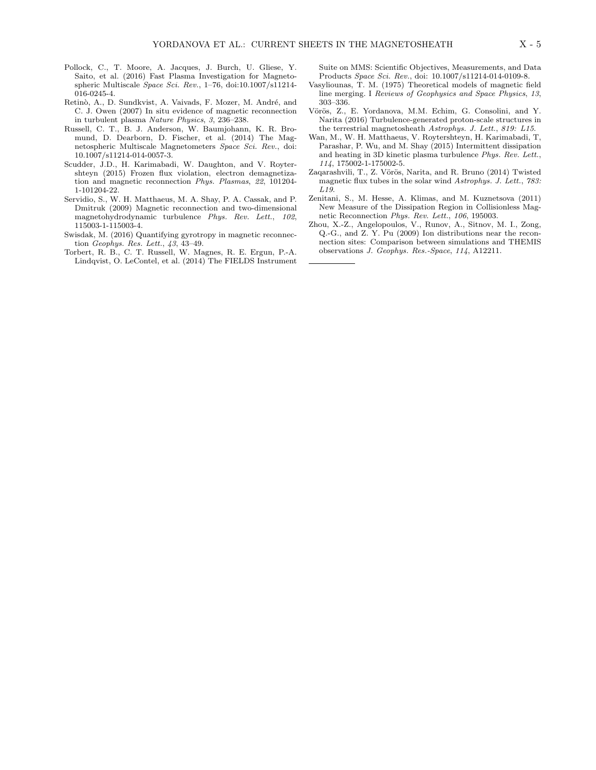- Pollock, C., T. Moore, A. Jacques, J. Burch, U. Gliese, Y. Saito, et al. (2016) Fast Plasma Investigation for Magnetospheric Multiscale Space Sci. Rev., 1–76, doi:10.1007/s11214- 016-0245-4.
- Retinò, A., D. Sundkvist, A. Vaivads, F. Mozer, M. André, and C. J. Owen (2007) In situ evidence of magnetic reconnection in turbulent plasma Nature Physics, 3, 236–238.
- Russell, C. T., B. J. Anderson, W. Baumjohann, K. R. Bromund, D. Dearborn, D. Fischer, et al. (2014) The Magnetospheric Multiscale Magnetometers Space Sci. Rev., doi: 10.1007/s11214-014-0057-3.
- Scudder, J.D., H. Karimabadi, W. Daughton, and V. Roytershteyn (2015) Frozen flux violation, electron demagnetization and magnetic reconnection Phys. Plasmas, 22, 101204- 1-101204-22.
- Servidio, S., W. H. Matthaeus, M. A. Shay, P. A. Cassak, and P. Dmitruk (2009) Magnetic reconnection and two-dimensional magnetohydrodynamic turbulence Phys. Rev. Lett., 102, 115003-1-115003-4.
- Swisdak, M. (2016) Quantifying gyrotropy in magnetic reconnection Geophys. Res. Lett., 43, 43–49.
- Torbert, R. B., C. T. Russell, W. Magnes, R. E. Ergun, P.-A. Lindqvist, O. LeContel, et al. (2014) The FIELDS Instrument

Suite on MMS: Scientific Objectives, Measurements, and Data Products Space Sci. Rev., doi: 10.1007/s11214-014-0109-8.

- Vasyliounas, T. M. (1975) Theoretical models of magnetic field line merging. I Reviews of Geophysics and Space Physics, 13, 303–336.
- Vörös, Z., E. Yordanova, M.M. Echim, G. Consolini, and Y. Narita (2016) Turbulence-generated proton-scale structures in the terrestrial magnetosheath Astrophys. J. Lett., 819: L15.
- Wan, M., W. H. Matthaeus, V. Roytershteyn, H. Karimabadi, T, Parashar, P. Wu, and M. Shay (2015) Intermittent dissipation and heating in 3D kinetic plasma turbulence Phys. Rev. Lett., 114, 175002-1-175002-5.
- Zaqarashvili, T., Z. Vörös, Narita, and R. Bruno (2014) Twisted magnetic flux tubes in the solar wind Astrophys. J. Lett., 783: L19.
- Zenitani, S., M. Hesse, A. Klimas, and M. Kuznetsova (2011) New Measure of the Dissipation Region in Collisionless Magnetic Reconnection Phys. Rev. Lett., 106, 195003.
- Zhou, X.-Z., Angelopoulos, V., Runov, A., Sitnov, M. I., Zong, Q.-G., and Z. Y. Pu (2009) Ion distributions near the reconnection sites: Comparison between simulations and THEMIS observations J. Geophys. Res.-Space, 114, A12211.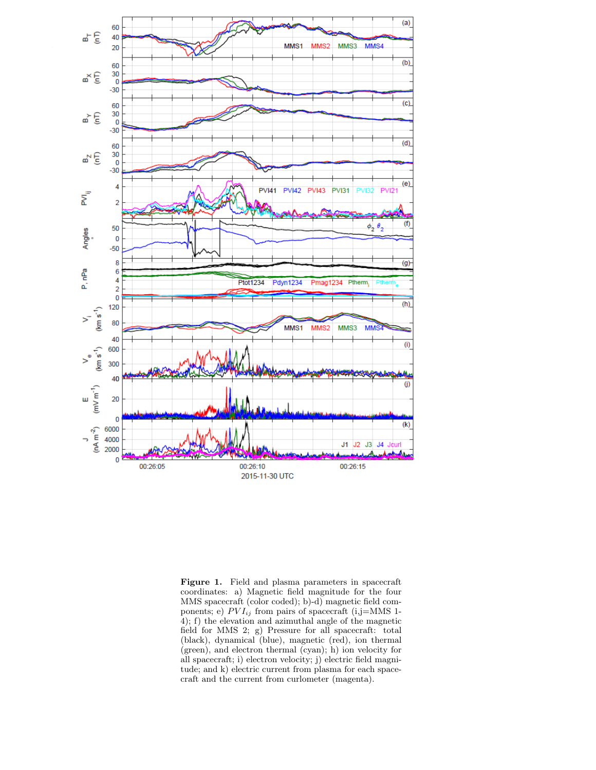

Figure 1. Field and plasma parameters in spacecraft coordinates: a) Magnetic field magnitude for the four MMS spacecraft (color coded); b)-d) magnetic field components; e)  $PVI_{ij}$  from pairs of spacecraft (i,j=MMS 1-4); f) the elevation and azimuthal angle of the magnetic field for MMS 2; g) Pressure for all spacecraft: total (black), dynamical (blue), magnetic (red), ion thermal (green), and electron thermal (cyan); h) ion velocity for all spacecraft; i) electron velocity; j) electric field magnitude; and k) electric current from plasma for each spacecraft and the current from curlometer (magenta).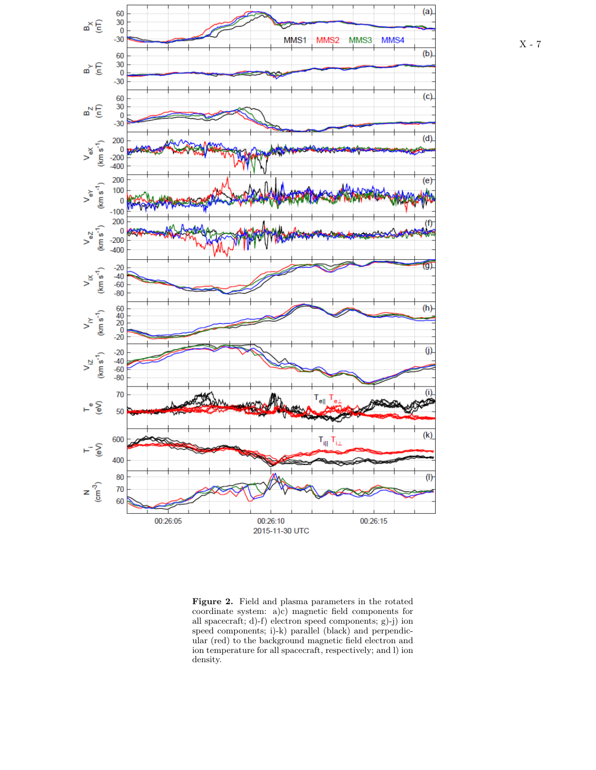

Figure 2. Field and plasma parameters in the rotated coordinate system: a)c) magnetic field components for all spacecraft; d)-f) electron speed components; g)-j) ion speed components; i)-k) parallel (black) and perpendicular (red) to the background magnetic field electron and ion temperature for all spacecraft, respectively; and l) ion density.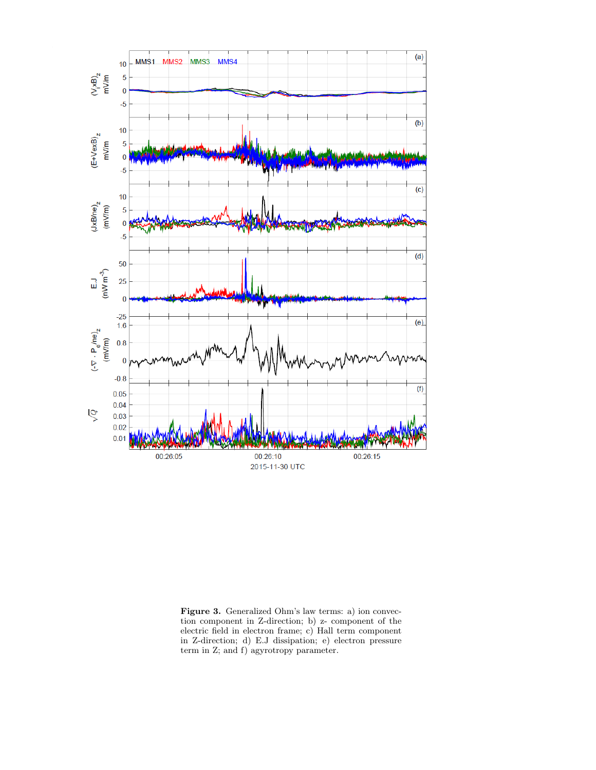

Figure 3. Generalized Ohm's law terms: a) ion convection component in Z-direction; b) z- component of the electric field in electron frame; c) Hall term component in Z-direction; d) E.J dissipation; e) electron pressure term in Z; and f) agyrotropy parameter.